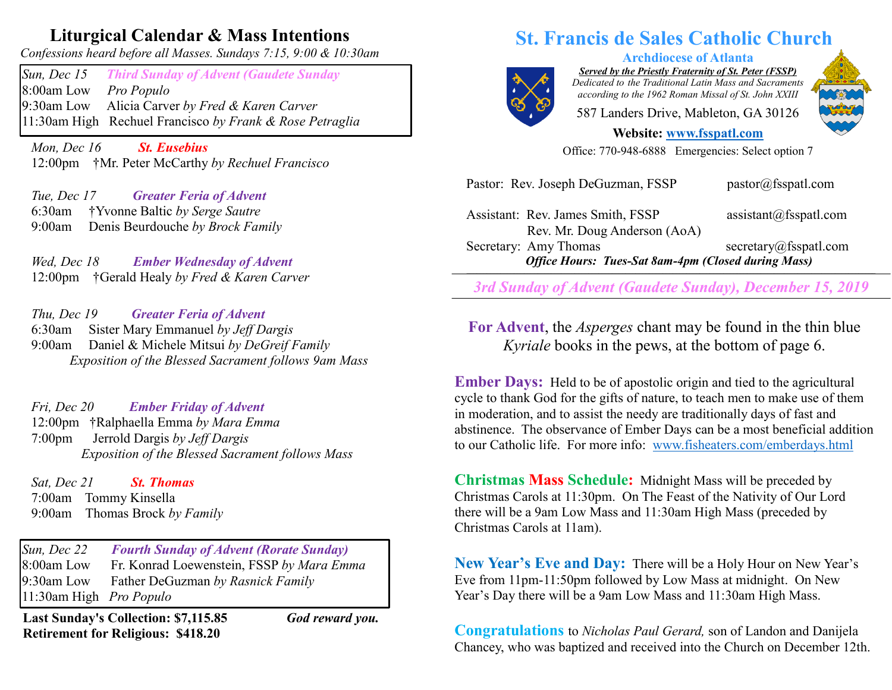## **Liturgical Calendar & Mass Intentions**

*Confessions heard before all Masses. Sundays 7:15, 9:00 & 10:30am*

*Sun, Dec 15 Third Sunday of Advent (Gaudete Sunday* 8:00am Low *Pro Populo*  9:30am Low Alicia Carver *by Fred & Karen Carver* 11:30am High Rechuel Francisco *by Frank & Rose Petraglia*

 *Mon, Dec 16 St. Eusebius* 12:00pm †Mr. Peter McCarthy *by Rechuel Francisco*

 *Tue, Dec 17 Greater Feria of Advent*  6:30am †Yvonne Baltic *by Serge Sautre* 9:00am Denis Beurdouche *by Brock Family*

 *Wed, Dec 18 Ember Wednesday of Advent*  12:00pm †Gerald Healy *by Fred & Karen Carver*

 *Thu, Dec 19 Greater Feria of Advent* 6:30am Sister Mary Emmanuel *by Jeff Dargis* 9:00am Daniel & Michele Mitsui *by DeGreif Family Exposition of the Blessed Sacrament follows 9am Mass*

 *Fri, Dec 20 Ember Friday of Advent*  12:00pm †Ralphaella Emma *by Mara Emma* 7:00pm Jerrold Dargis *by Jeff Dargis Exposition of the Blessed Sacrament follows Mass*

*Sat, Dec 21 St. Thomas*  7:00am Tommy Kinsella 9:00am Thomas Brock *by Family*

*Sun, Dec 22 Fourth Sunday of Advent (Rorate Sunday)* 8:00am Low Fr. Konrad Loewenstein, FSSP *by Mara Emma* 9:30am Low Father DeGuzman *by Rasnick Family* 11:30am High *Pro Populo* 

**Last Sunday's Collection: \$7,115.85** *God reward you.* **Retirement for Religious: \$418.20**

## **St. Francis de Sales Catholic Church**



*Served by the Priestly Fraternity of St. Peter (FSSP) Dedicated to the Traditional Latin Mass and Sacraments according to the 1962 Roman Missal of St. John XXIII*

**Archdiocese of Atlanta**

587 Landers Drive, Mableton, GA 30126

**Website: [www.fsspatl.com](http://www.fsspatl.com/)**

Office: 770-948-6888 Emergencies: Select option 7

| 3rd Sunday of Advent (Gaudete Sunday), December 15, 2019   |                                    |
|------------------------------------------------------------|------------------------------------|
| <b>Office Hours: Tues-Sat 8am-4pm (Closed during Mass)</b> |                                    |
| Secretary: Amy Thomas                                      | secretary@fsspath.com              |
| Rev. Mr. Doug Anderson (AoA)                               |                                    |
| Assistant: Rev. James Smith, FSSP                          | $\text{assignment}(a)$ fsspatl.com |
| Pastor: Rev. Joseph DeGuzman, FSSP                         | pastor@fsspath.com                 |

**For Advent**, the *Asperges* chant may be found in the thin blue *Kyriale* books in the pews, at the bottom of page 6.

**Ember Days:** Held to be of apostolic origin and tied to the agricultural cycle to thank God for the gifts of nature, to teach men to make use of them in moderation, and to assist the needy are traditionally days of fast and abstinence. The observance of Ember Days can be a most beneficial addition to our Catholic life. For more info: [www.fisheaters.com/emberdays.html](http://www.fisheaters.com/emberdays.html)

**Christmas Mass Schedule:** Midnight Mass will be preceded by Christmas Carols at 11:30pm. On The Feast of the Nativity of Our Lord there will be a 9am Low Mass and 11:30am High Mass (preceded by Christmas Carols at 11am).

**New Year's Eve and Day:** There will be a Holy Hour on New Year's Eve from 11pm-11:50pm followed by Low Mass at midnight. On New Year's Day there will be a 9am Low Mass and 11:30am High Mass.

**Congratulations** to *Nicholas Paul Gerard,* son of Landon and Danijela Chancey, who was baptized and received into the Church on December 12th.